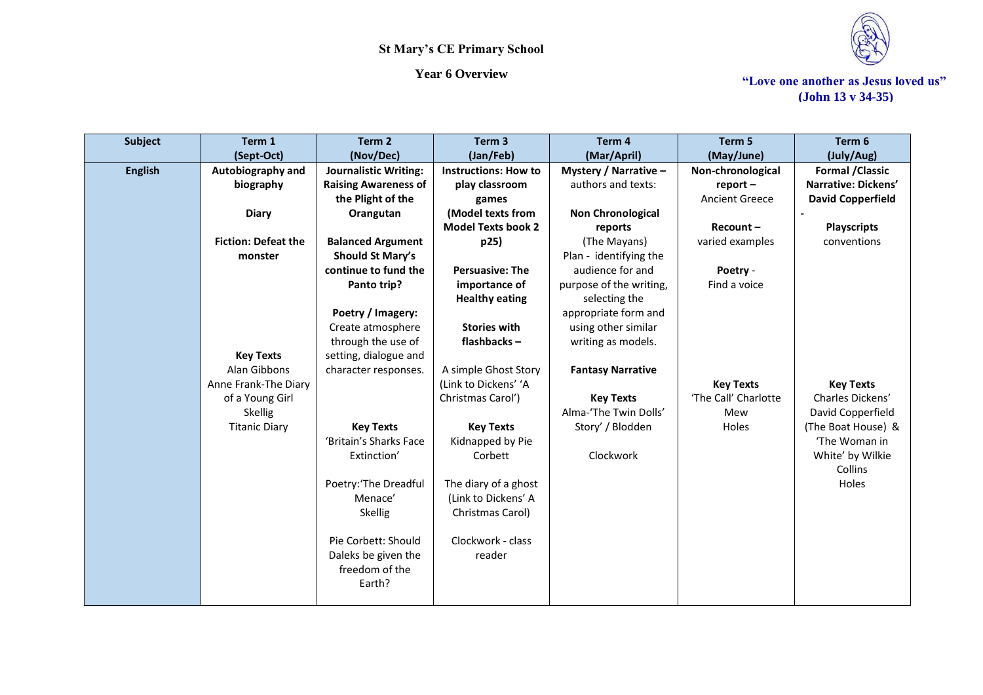



*Year 6 Overview* **Theory of Theory 4 Theory 4 Theory 4 Theory 4 Theory 4 Theory 4 Theory 4 Theory 4 Theory 4 Theory 4 Theory 4 Theory 4 Theory 4 Theory 4 Theory 4 Theory 4 Theory 4 Theory 4 Theory 4 Theory 4 Theory 4 Theo (John 13 v 34-35)**

| <b>Subject</b> | Term 1                     | Term 2                       | Term <sub>3</sub>           | Term <sub>4</sub>        | Term 5                | Term 6                   |
|----------------|----------------------------|------------------------------|-----------------------------|--------------------------|-----------------------|--------------------------|
|                | (Sept-Oct)                 | (Nov/Dec)                    | (Jan/Feb)                   | (Mar/April)              | (May/June)            | (July/Aug)               |
| <b>English</b> | Autobiography and          | <b>Journalistic Writing:</b> | <b>Instructions: How to</b> | Mystery / Narrative -    | Non-chronological     | <b>Formal / Classic</b>  |
|                | biography                  | <b>Raising Awareness of</b>  | play classroom              | authors and texts:       | $report -$            | Narrative: Dickens'      |
|                |                            | the Plight of the            | games                       |                          | <b>Ancient Greece</b> | <b>David Copperfield</b> |
|                | <b>Diary</b>               | Orangutan                    | (Model texts from           | <b>Non Chronological</b> |                       |                          |
|                |                            |                              | <b>Model Texts book 2</b>   | reports                  | $Recount -$           | <b>Playscripts</b>       |
|                | <b>Fiction: Defeat the</b> | <b>Balanced Argument</b>     | p25)                        | (The Mayans)             | varied examples       | conventions              |
|                | monster                    | Should St Mary's             |                             | Plan - identifying the   |                       |                          |
|                |                            | continue to fund the         | <b>Persuasive: The</b>      | audience for and         | Poetry -              |                          |
|                |                            | Panto trip?                  | importance of               | purpose of the writing,  | Find a voice          |                          |
|                |                            |                              | <b>Healthy eating</b>       | selecting the            |                       |                          |
|                |                            | Poetry / Imagery:            |                             | appropriate form and     |                       |                          |
|                |                            | Create atmosphere            | <b>Stories with</b>         | using other similar      |                       |                          |
|                |                            | through the use of           | flashbacks-                 | writing as models.       |                       |                          |
|                | <b>Key Texts</b>           | setting, dialogue and        |                             |                          |                       |                          |
|                | Alan Gibbons               | character responses.         | A simple Ghost Story        | <b>Fantasy Narrative</b> |                       |                          |
|                | Anne Frank-The Diary       |                              | (Link to Dickens' 'A        |                          | <b>Key Texts</b>      | <b>Key Texts</b>         |
|                | of a Young Girl            |                              | Christmas Carol')           | <b>Key Texts</b>         | 'The Call' Charlotte  | Charles Dickens'         |
|                | Skellig                    |                              |                             | Alma-'The Twin Dolls'    | Mew                   | David Copperfield        |
|                | <b>Titanic Diary</b>       | <b>Key Texts</b>             | <b>Key Texts</b>            | Story' / Blodden         | Holes                 | (The Boat House) &       |
|                |                            | 'Britain's Sharks Face       | Kidnapped by Pie            |                          |                       | 'The Woman in            |
|                |                            | Extinction'                  | Corbett                     | Clockwork                |                       | White' by Wilkie         |
|                |                            |                              |                             |                          |                       | Collins                  |
|                |                            | Poetry:'The Dreadful         | The diary of a ghost        |                          |                       | Holes                    |
|                |                            | Menace'                      | (Link to Dickens' A         |                          |                       |                          |
|                |                            | Skellig                      | Christmas Carol)            |                          |                       |                          |
|                |                            |                              |                             |                          |                       |                          |
|                |                            | Pie Corbett: Should          | Clockwork - class           |                          |                       |                          |
|                |                            | Daleks be given the          | reader                      |                          |                       |                          |
|                |                            | freedom of the               |                             |                          |                       |                          |
|                |                            | Earth?                       |                             |                          |                       |                          |
|                |                            |                              |                             |                          |                       |                          |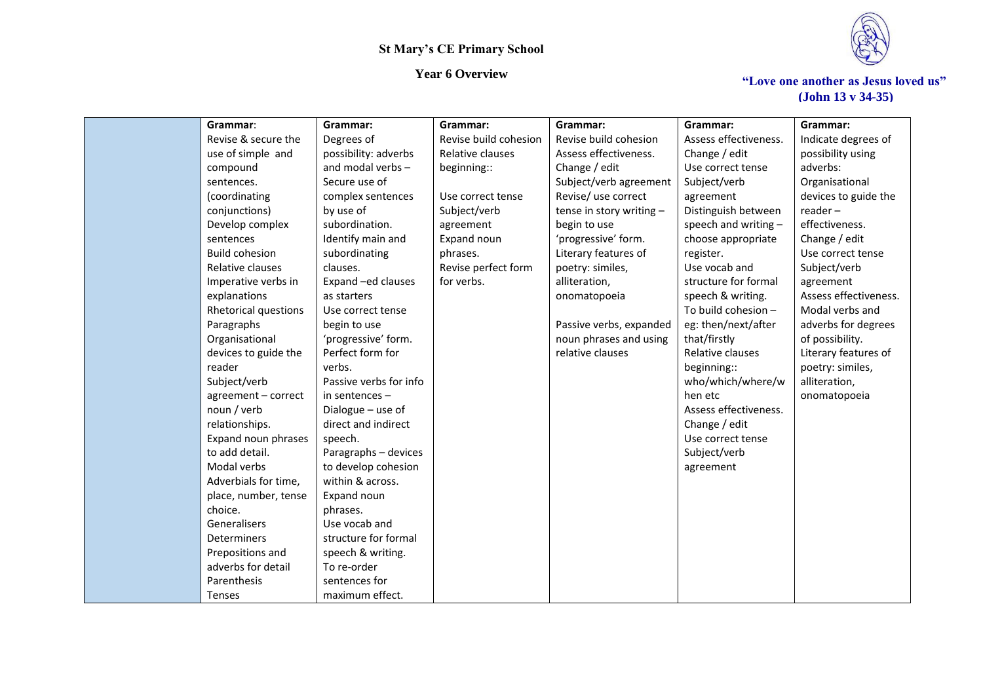

| Grammar:              | Grammar:               | Grammar:              | Grammar:                 | Grammar:              | Grammar:              |
|-----------------------|------------------------|-----------------------|--------------------------|-----------------------|-----------------------|
| Revise & secure the   | Degrees of             | Revise build cohesion | Revise build cohesion    | Assess effectiveness. | Indicate degrees of   |
| use of simple and     | possibility: adverbs   | Relative clauses      | Assess effectiveness.    | Change / edit         | possibility using     |
| compound              | and modal verbs -      | beginning::           | Change / edit            | Use correct tense     | adverbs:              |
| sentences.            | Secure use of          |                       | Subject/verb agreement   | Subject/verb          | Organisational        |
| (coordinating         | complex sentences      | Use correct tense     | Revise/ use correct      | agreement             | devices to guide the  |
| conjunctions)         | by use of              | Subject/verb          | tense in story writing - | Distinguish between   | $reader -$            |
| Develop complex       | subordination.         | agreement             | begin to use             | speech and writing -  | effectiveness.        |
| sentences             | Identify main and      | Expand noun           | 'progressive' form.      | choose appropriate    | Change / edit         |
| <b>Build cohesion</b> | subordinating          | phrases.              | Literary features of     | register.             | Use correct tense     |
| Relative clauses      | clauses.               | Revise perfect form   | poetry: similes,         | Use vocab and         | Subject/verb          |
| Imperative verbs in   | Expand -ed clauses     | for verbs.            | alliteration,            | structure for formal  | agreement             |
| explanations          | as starters            |                       | onomatopoeia             | speech & writing.     | Assess effectiveness. |
| Rhetorical questions  | Use correct tense      |                       |                          | To build cohesion -   | Modal verbs and       |
| Paragraphs            | begin to use           |                       | Passive verbs, expanded  | eg: then/next/after   | adverbs for degrees   |
| Organisational        | 'progressive' form.    |                       | noun phrases and using   | that/firstly          | of possibility.       |
| devices to guide the  | Perfect form for       |                       | relative clauses         | Relative clauses      | Literary features of  |
| reader                | verbs.                 |                       |                          | beginning::           | poetry: similes,      |
| Subject/verb          | Passive verbs for info |                       |                          | who/which/where/w     | alliteration,         |
| agreement - correct   | in sentences -         |                       |                          | hen etc               | onomatopoeia          |
| noun / verb           | Dialogue - use of      |                       |                          | Assess effectiveness. |                       |
| relationships.        | direct and indirect    |                       |                          | Change / edit         |                       |
| Expand noun phrases   | speech.                |                       |                          | Use correct tense     |                       |
| to add detail.        | Paragraphs - devices   |                       |                          | Subject/verb          |                       |
| Modal verbs           | to develop cohesion    |                       |                          | agreement             |                       |
| Adverbials for time,  | within & across.       |                       |                          |                       |                       |
| place, number, tense  | Expand noun            |                       |                          |                       |                       |
| choice.               | phrases.               |                       |                          |                       |                       |
| Generalisers          | Use vocab and          |                       |                          |                       |                       |
| Determiners           | structure for formal   |                       |                          |                       |                       |
| Prepositions and      | speech & writing.      |                       |                          |                       |                       |
| adverbs for detail    | To re-order            |                       |                          |                       |                       |
| Parenthesis           | sentences for          |                       |                          |                       |                       |
| <b>Tenses</b>         | maximum effect.        |                       |                          |                       |                       |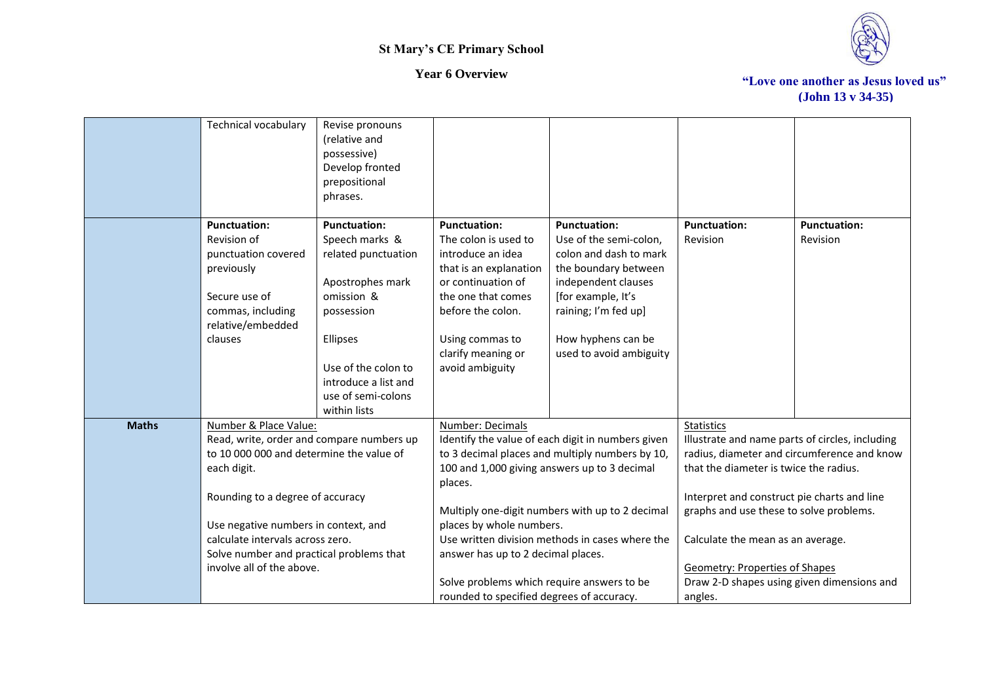

|              | Technical vocabulary                      | Revise pronouns<br>(relative and            |                                                   |                                                 |                                                 |                     |
|--------------|-------------------------------------------|---------------------------------------------|---------------------------------------------------|-------------------------------------------------|-------------------------------------------------|---------------------|
|              |                                           | possessive)                                 |                                                   |                                                 |                                                 |                     |
|              |                                           | Develop fronted                             |                                                   |                                                 |                                                 |                     |
|              |                                           | prepositional                               |                                                   |                                                 |                                                 |                     |
|              |                                           | phrases.                                    |                                                   |                                                 |                                                 |                     |
|              |                                           |                                             |                                                   |                                                 |                                                 |                     |
|              | <b>Punctuation:</b>                       | <b>Punctuation:</b>                         | <b>Punctuation:</b>                               | <b>Punctuation:</b>                             | <b>Punctuation:</b>                             | <b>Punctuation:</b> |
|              | Revision of                               | Speech marks &                              | The colon is used to                              | Use of the semi-colon,                          | Revision                                        | Revision            |
|              | punctuation covered                       | related punctuation                         | introduce an idea                                 | colon and dash to mark                          |                                                 |                     |
|              | previously                                |                                             | that is an explanation                            | the boundary between                            |                                                 |                     |
|              |                                           | Apostrophes mark                            | or continuation of                                | independent clauses                             |                                                 |                     |
|              | Secure use of                             | omission &                                  | the one that comes                                | [for example, It's                              |                                                 |                     |
|              | commas, including                         | possession                                  | before the colon.                                 | raining; I'm fed up]                            |                                                 |                     |
|              | relative/embedded                         |                                             |                                                   |                                                 |                                                 |                     |
|              | clauses                                   | <b>Ellipses</b>                             | Using commas to                                   | How hyphens can be                              |                                                 |                     |
|              |                                           |                                             | clarify meaning or                                | used to avoid ambiguity                         |                                                 |                     |
|              |                                           | Use of the colon to<br>introduce a list and | avoid ambiguity                                   |                                                 |                                                 |                     |
|              |                                           | use of semi-colons                          |                                                   |                                                 |                                                 |                     |
|              |                                           | within lists                                |                                                   |                                                 |                                                 |                     |
| <b>Maths</b> | Number & Place Value:                     |                                             | Number: Decimals                                  |                                                 | <b>Statistics</b>                               |                     |
|              | Read, write, order and compare numbers up |                                             | Identify the value of each digit in numbers given |                                                 | Illustrate and name parts of circles, including |                     |
|              | to 10 000 000 and determine the value of  |                                             |                                                   | to 3 decimal places and multiply numbers by 10, | radius, diameter and circumference and know     |                     |
|              | each digit.                               |                                             | 100 and 1,000 giving answers up to 3 decimal      |                                                 | that the diameter is twice the radius.          |                     |
|              |                                           |                                             | places.                                           |                                                 |                                                 |                     |
|              | Rounding to a degree of accuracy          |                                             |                                                   |                                                 | Interpret and construct pie charts and line     |                     |
|              |                                           |                                             |                                                   | Multiply one-digit numbers with up to 2 decimal | graphs and use these to solve problems.         |                     |
|              | Use negative numbers in context, and      |                                             | places by whole numbers.                          |                                                 |                                                 |                     |
|              | calculate intervals across zero.          |                                             |                                                   | Use written division methods in cases where the | Calculate the mean as an average.               |                     |
|              | Solve number and practical problems that  |                                             | answer has up to 2 decimal places.                |                                                 |                                                 |                     |
|              | involve all of the above.                 |                                             |                                                   |                                                 | <b>Geometry: Properties of Shapes</b>           |                     |
|              |                                           |                                             | Solve problems which require answers to be        |                                                 | Draw 2-D shapes using given dimensions and      |                     |
|              |                                           |                                             | rounded to specified degrees of accuracy.         |                                                 | angles.                                         |                     |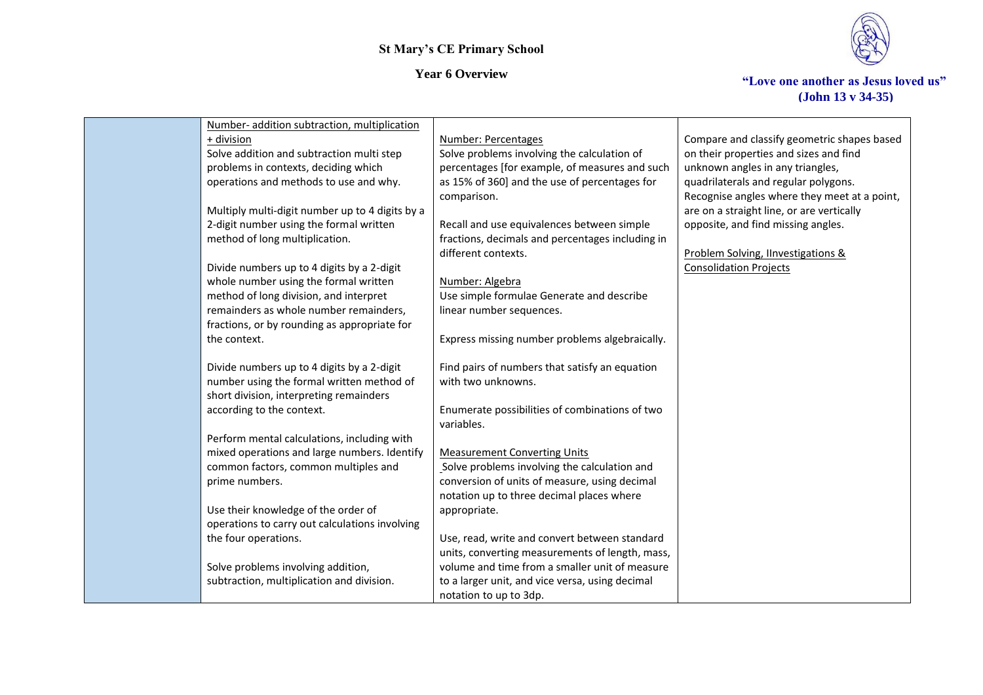

| Number- addition subtraction, multiplication    |                                                  |                                              |
|-------------------------------------------------|--------------------------------------------------|----------------------------------------------|
| + division                                      | <b>Number: Percentages</b>                       | Compare and classify geometric shapes based  |
| Solve addition and subtraction multi step       | Solve problems involving the calculation of      | on their properties and sizes and find       |
| problems in contexts, deciding which            | percentages [for example, of measures and such   | unknown angles in any triangles,             |
| operations and methods to use and why.          | as 15% of 360] and the use of percentages for    | quadrilaterals and regular polygons.         |
|                                                 | comparison.                                      | Recognise angles where they meet at a point, |
| Multiply multi-digit number up to 4 digits by a |                                                  | are on a straight line, or are vertically    |
| 2-digit number using the formal written         | Recall and use equivalences between simple       | opposite, and find missing angles.           |
| method of long multiplication.                  | fractions, decimals and percentages including in |                                              |
|                                                 | different contexts.                              | Problem Solving, Ilnvestigations &           |
| Divide numbers up to 4 digits by a 2-digit      |                                                  | <b>Consolidation Projects</b>                |
| whole number using the formal written           | Number: Algebra                                  |                                              |
| method of long division, and interpret          | Use simple formulae Generate and describe        |                                              |
| remainders as whole number remainders,          | linear number sequences.                         |                                              |
| fractions, or by rounding as appropriate for    |                                                  |                                              |
| the context.                                    | Express missing number problems algebraically.   |                                              |
|                                                 |                                                  |                                              |
| Divide numbers up to 4 digits by a 2-digit      | Find pairs of numbers that satisfy an equation   |                                              |
| number using the formal written method of       | with two unknowns.                               |                                              |
| short division, interpreting remainders         |                                                  |                                              |
| according to the context.                       | Enumerate possibilities of combinations of two   |                                              |
|                                                 | variables.                                       |                                              |
| Perform mental calculations, including with     |                                                  |                                              |
| mixed operations and large numbers. Identify    | <b>Measurement Converting Units</b>              |                                              |
| common factors, common multiples and            | Solve problems involving the calculation and     |                                              |
| prime numbers.                                  | conversion of units of measure, using decimal    |                                              |
|                                                 | notation up to three decimal places where        |                                              |
| Use their knowledge of the order of             | appropriate.                                     |                                              |
| operations to carry out calculations involving  |                                                  |                                              |
| the four operations.                            | Use, read, write and convert between standard    |                                              |
|                                                 | units, converting measurements of length, mass,  |                                              |
| Solve problems involving addition,              | volume and time from a smaller unit of measure   |                                              |
| subtraction, multiplication and division.       | to a larger unit, and vice versa, using decimal  |                                              |
|                                                 | notation to up to 3dp.                           |                                              |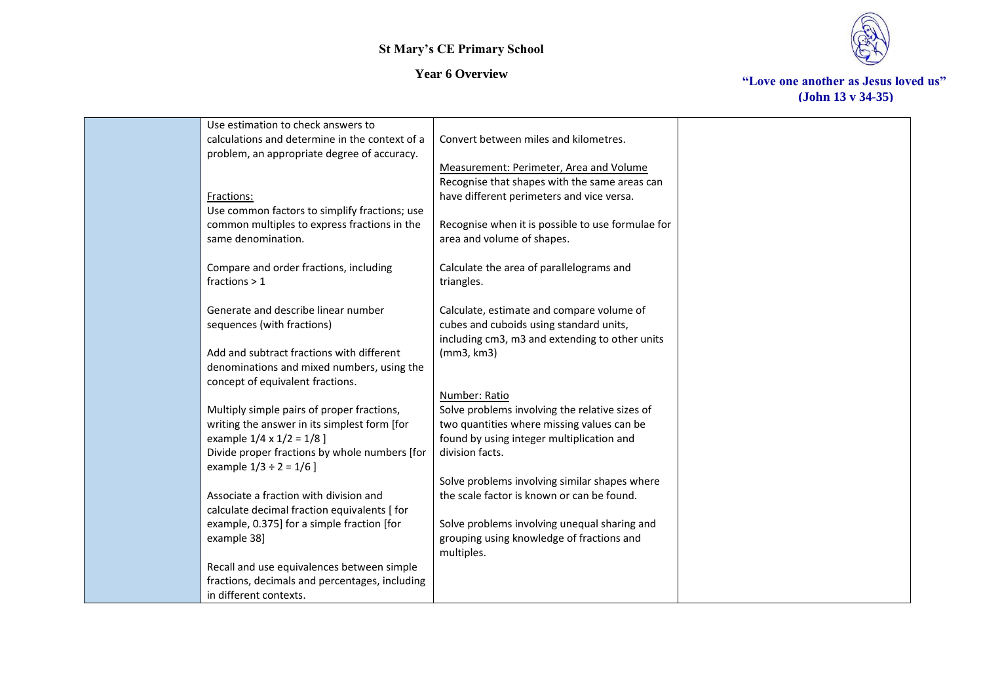



| Use estimation to check answers to             |                                                   |  |
|------------------------------------------------|---------------------------------------------------|--|
| calculations and determine in the context of a | Convert between miles and kilometres.             |  |
| problem, an appropriate degree of accuracy.    |                                                   |  |
|                                                | Measurement: Perimeter, Area and Volume           |  |
|                                                | Recognise that shapes with the same areas can     |  |
|                                                |                                                   |  |
| Fractions:                                     | have different perimeters and vice versa.         |  |
| Use common factors to simplify fractions; use  |                                                   |  |
| common multiples to express fractions in the   | Recognise when it is possible to use formulae for |  |
| same denomination.                             | area and volume of shapes.                        |  |
|                                                |                                                   |  |
| Compare and order fractions, including         | Calculate the area of parallelograms and          |  |
| fractions $> 1$                                | triangles.                                        |  |
|                                                |                                                   |  |
| Generate and describe linear number            | Calculate, estimate and compare volume of         |  |
| sequences (with fractions)                     | cubes and cuboids using standard units,           |  |
|                                                | including cm3, m3 and extending to other units    |  |
| Add and subtract fractions with different      | (mm3, km3)                                        |  |
| denominations and mixed numbers, using the     |                                                   |  |
| concept of equivalent fractions.               |                                                   |  |
|                                                | Number: Ratio                                     |  |
| Multiply simple pairs of proper fractions,     | Solve problems involving the relative sizes of    |  |
|                                                |                                                   |  |
| writing the answer in its simplest form [for   | two quantities where missing values can be        |  |
| example $1/4 \times 1/2 = 1/8$ ]               | found by using integer multiplication and         |  |
| Divide proper fractions by whole numbers [for  | division facts.                                   |  |
| example $1/3 \div 2 = 1/6$ ]                   |                                                   |  |
|                                                | Solve problems involving similar shapes where     |  |
| Associate a fraction with division and         | the scale factor is known or can be found.        |  |
| calculate decimal fraction equivalents [ for   |                                                   |  |
| example, 0.375] for a simple fraction [for     | Solve problems involving unequal sharing and      |  |
| example 38]                                    | grouping using knowledge of fractions and         |  |
|                                                | multiples.                                        |  |
| Recall and use equivalences between simple     |                                                   |  |
| fractions, decimals and percentages, including |                                                   |  |
| in different contexts.                         |                                                   |  |
|                                                |                                                   |  |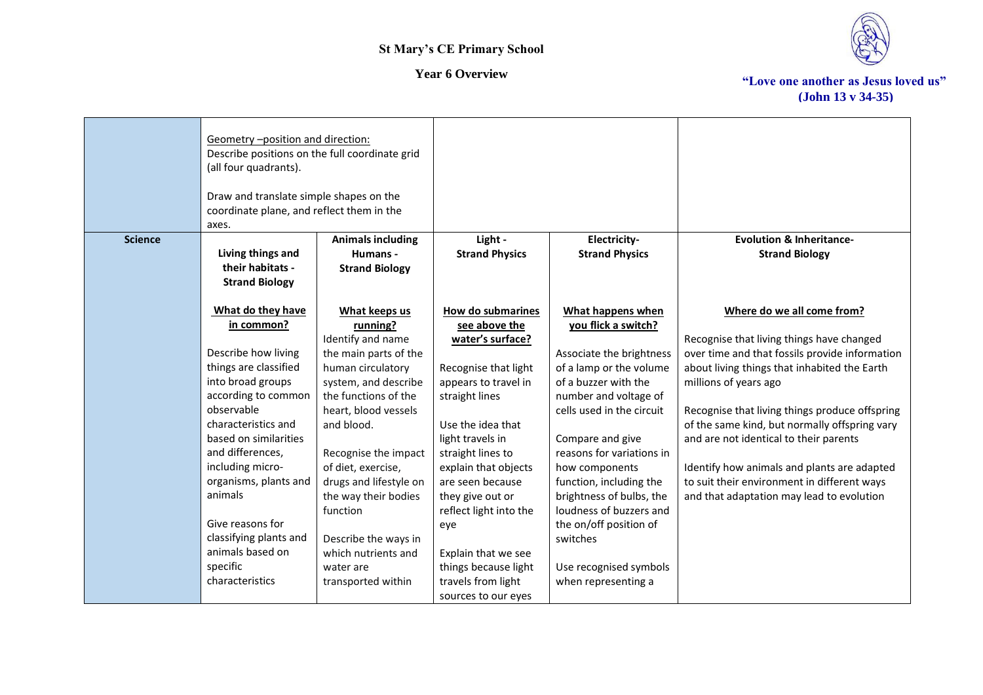

|                | Geometry -position and direction:<br>Describe positions on the full coordinate grid<br>(all four quadrants).<br>Draw and translate simple shapes on the<br>coordinate plane, and reflect them in the<br>axes. |                                            |                                           |                                               |                                                |
|----------------|---------------------------------------------------------------------------------------------------------------------------------------------------------------------------------------------------------------|--------------------------------------------|-------------------------------------------|-----------------------------------------------|------------------------------------------------|
| <b>Science</b> |                                                                                                                                                                                                               | <b>Animals including</b>                   | Light -                                   | Electricity-                                  | <b>Evolution &amp; Inheritance-</b>            |
|                | Living things and<br>their habitats -<br><b>Strand Biology</b>                                                                                                                                                | Humans -<br><b>Strand Biology</b>          | <b>Strand Physics</b>                     | <b>Strand Physics</b>                         | <b>Strand Biology</b>                          |
|                | What do they have                                                                                                                                                                                             | What keeps us                              | How do submarines                         | What happens when                             | Where do we all come from?                     |
|                | in common?                                                                                                                                                                                                    | running?                                   | see above the                             | you flick a switch?                           |                                                |
|                |                                                                                                                                                                                                               | Identify and name                          | water's surface?                          |                                               | Recognise that living things have changed      |
|                | Describe how living                                                                                                                                                                                           | the main parts of the                      |                                           | Associate the brightness                      | over time and that fossils provide information |
|                | things are classified                                                                                                                                                                                         | human circulatory                          | Recognise that light                      | of a lamp or the volume                       | about living things that inhabited the Earth   |
|                | into broad groups                                                                                                                                                                                             | system, and describe                       | appears to travel in                      | of a buzzer with the                          | millions of years ago                          |
|                | according to common                                                                                                                                                                                           | the functions of the                       | straight lines                            | number and voltage of                         |                                                |
|                | observable                                                                                                                                                                                                    | heart, blood vessels                       |                                           | cells used in the circuit                     | Recognise that living things produce offspring |
|                | characteristics and                                                                                                                                                                                           | and blood.                                 | Use the idea that                         |                                               | of the same kind, but normally offspring vary  |
|                | based on similarities                                                                                                                                                                                         |                                            | light travels in                          | Compare and give<br>reasons for variations in | and are not identical to their parents         |
|                | and differences,<br>including micro-                                                                                                                                                                          | Recognise the impact<br>of diet, exercise, | straight lines to<br>explain that objects | how components                                | Identify how animals and plants are adapted    |
|                | organisms, plants and                                                                                                                                                                                         | drugs and lifestyle on                     | are seen because                          | function, including the                       | to suit their environment in different ways    |
|                | animals                                                                                                                                                                                                       | the way their bodies                       | they give out or                          | brightness of bulbs, the                      | and that adaptation may lead to evolution      |
|                |                                                                                                                                                                                                               | function                                   | reflect light into the                    | loudness of buzzers and                       |                                                |
|                | Give reasons for                                                                                                                                                                                              |                                            | eye                                       | the on/off position of                        |                                                |
|                | classifying plants and                                                                                                                                                                                        | Describe the ways in                       |                                           | switches                                      |                                                |
|                | animals based on                                                                                                                                                                                              | which nutrients and                        | Explain that we see                       |                                               |                                                |
|                | specific                                                                                                                                                                                                      | water are                                  | things because light                      | Use recognised symbols                        |                                                |
|                | characteristics                                                                                                                                                                                               | transported within                         | travels from light                        | when representing a                           |                                                |
|                |                                                                                                                                                                                                               |                                            | sources to our eyes                       |                                               |                                                |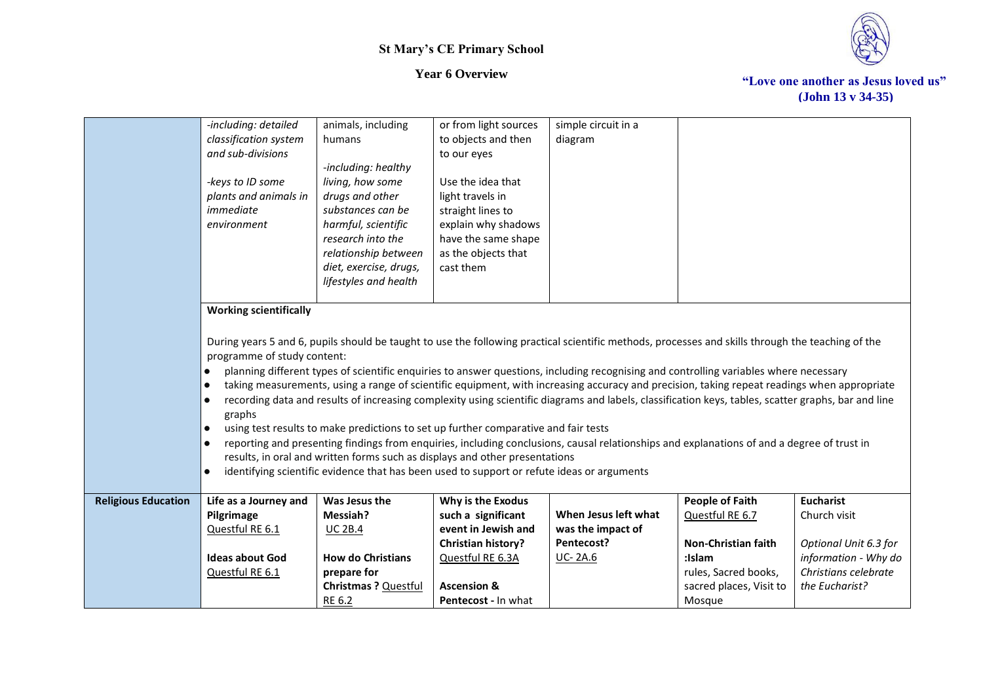



|                            | -including: detailed          | animals, including       | or from light sources                                                                      | simple circuit in a                                                                                                                                 |                         |                       |
|----------------------------|-------------------------------|--------------------------|--------------------------------------------------------------------------------------------|-----------------------------------------------------------------------------------------------------------------------------------------------------|-------------------------|-----------------------|
|                            | classification system         | humans                   | to objects and then                                                                        | diagram                                                                                                                                             |                         |                       |
|                            | and sub-divisions             |                          | to our eyes                                                                                |                                                                                                                                                     |                         |                       |
|                            |                               | -including: healthy      |                                                                                            |                                                                                                                                                     |                         |                       |
|                            | -keys to ID some              | living, how some         | Use the idea that                                                                          |                                                                                                                                                     |                         |                       |
|                            | plants and animals in         | drugs and other          | light travels in                                                                           |                                                                                                                                                     |                         |                       |
|                            | immediate                     | substances can be        | straight lines to                                                                          |                                                                                                                                                     |                         |                       |
|                            | environment                   | harmful, scientific      | explain why shadows                                                                        |                                                                                                                                                     |                         |                       |
|                            |                               | research into the        | have the same shape                                                                        |                                                                                                                                                     |                         |                       |
|                            |                               | relationship between     | as the objects that                                                                        |                                                                                                                                                     |                         |                       |
|                            |                               | diet, exercise, drugs,   | cast them                                                                                  |                                                                                                                                                     |                         |                       |
|                            |                               | lifestyles and health    |                                                                                            |                                                                                                                                                     |                         |                       |
|                            |                               |                          |                                                                                            |                                                                                                                                                     |                         |                       |
|                            | <b>Working scientifically</b> |                          |                                                                                            |                                                                                                                                                     |                         |                       |
|                            |                               |                          |                                                                                            |                                                                                                                                                     |                         |                       |
|                            |                               |                          |                                                                                            |                                                                                                                                                     |                         |                       |
|                            | programme of study content:   |                          |                                                                                            | During years 5 and 6, pupils should be taught to use the following practical scientific methods, processes and skills through the teaching of the   |                         |                       |
|                            |                               |                          |                                                                                            |                                                                                                                                                     |                         |                       |
|                            | $\bullet$                     |                          |                                                                                            | planning different types of scientific enquiries to answer questions, including recognising and controlling variables where necessary               |                         |                       |
|                            | $\bullet$                     |                          |                                                                                            | taking measurements, using a range of scientific equipment, with increasing accuracy and precision, taking repeat readings when appropriate         |                         |                       |
|                            | $\bullet$                     |                          |                                                                                            | recording data and results of increasing complexity using scientific diagrams and labels, classification keys, tables, scatter graphs, bar and line |                         |                       |
|                            | graphs                        |                          |                                                                                            |                                                                                                                                                     |                         |                       |
|                            | $\bullet$                     |                          | using test results to make predictions to set up further comparative and fair tests        |                                                                                                                                                     |                         |                       |
|                            | $\bullet$                     |                          |                                                                                            | reporting and presenting findings from enquiries, including conclusions, causal relationships and explanations of and a degree of trust in          |                         |                       |
|                            |                               |                          | results, in oral and written forms such as displays and other presentations                |                                                                                                                                                     |                         |                       |
|                            |                               |                          | identifying scientific evidence that has been used to support or refute ideas or arguments |                                                                                                                                                     |                         |                       |
| <b>Religious Education</b> | Life as a Journey and         | Was Jesus the            | Why is the Exodus                                                                          |                                                                                                                                                     | <b>People of Faith</b>  | <b>Eucharist</b>      |
|                            | Pilgrimage                    | Messiah?                 | such a significant                                                                         | When Jesus left what                                                                                                                                | Questful RE 6.7         | Church visit          |
|                            | Questful RE 6.1               | <b>UC 2B.4</b>           | event in Jewish and                                                                        | was the impact of                                                                                                                                   |                         |                       |
|                            |                               |                          | Christian history?                                                                         | Pentecost?                                                                                                                                          | Non-Christian faith     | Optional Unit 6.3 for |
|                            | <b>Ideas about God</b>        | <b>How do Christians</b> | Questful RE 6.3A                                                                           | <b>UC-2A.6</b>                                                                                                                                      | :Islam                  | information - Why do  |
|                            | Questful RE 6.1               | prepare for              |                                                                                            |                                                                                                                                                     | rules, Sacred books,    | Christians celebrate  |
|                            |                               | Christmas ? Questful     | <b>Ascension &amp;</b>                                                                     |                                                                                                                                                     | sacred places, Visit to | the Eucharist?        |
|                            |                               | RE 6.2                   | Pentecost - In what                                                                        |                                                                                                                                                     | Mosque                  |                       |
|                            |                               |                          |                                                                                            |                                                                                                                                                     |                         |                       |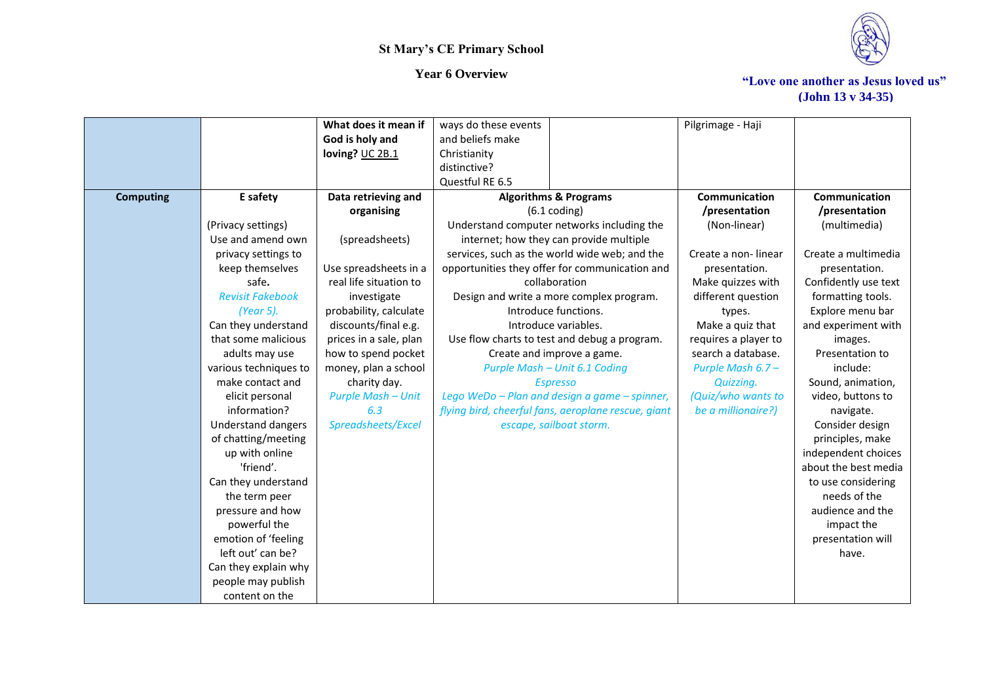

|                  |                           | What does it mean if      | ways do these events                                | Pilgrimage - Haji    |                      |
|------------------|---------------------------|---------------------------|-----------------------------------------------------|----------------------|----------------------|
|                  |                           | God is holy and           | and beliefs make                                    |                      |                      |
|                  |                           | loving? UC 2B.1           | Christianity                                        |                      |                      |
|                  |                           |                           | distinctive?                                        |                      |                      |
|                  |                           |                           | Questful RE 6.5                                     |                      |                      |
| <b>Computing</b> | E safety                  | Data retrieving and       | <b>Algorithms &amp; Programs</b>                    | Communication        | Communication        |
|                  |                           | organising                | $(6.1 \text{ coding})$                              | /presentation        | /presentation        |
|                  | (Privacy settings)        |                           | Understand computer networks including the          | (Non-linear)         | (multimedia)         |
|                  | Use and amend own         | (spreadsheets)            | internet; how they can provide multiple             |                      |                      |
|                  | privacy settings to       |                           | services, such as the world wide web; and the       | Create a non-linear  | Create a multimedia  |
|                  | keep themselves           | Use spreadsheets in a     | opportunities they offer for communication and      | presentation.        | presentation.        |
|                  | safe.                     | real life situation to    | collaboration                                       | Make quizzes with    | Confidently use text |
|                  | <b>Revisit Fakebook</b>   | investigate               | Design and write a more complex program.            | different question   | formatting tools.    |
|                  | (Year 5).                 | probability, calculate    | Introduce functions.                                | types.               | Explore menu bar     |
|                  | Can they understand       | discounts/final e.g.      | Introduce variables.                                | Make a quiz that     | and experiment with  |
|                  | that some malicious       | prices in a sale, plan    | Use flow charts to test and debug a program.        | requires a player to | images.              |
|                  | adults may use            | how to spend pocket       | Create and improve a game.                          | search a database.   | Presentation to      |
|                  | various techniques to     | money, plan a school      | Purple Mash - Unit 6.1 Coding                       | Purple Mash 6.7 -    | include:             |
|                  | make contact and          | charity day.              | <b>Espresso</b>                                     | Quizzing.            | Sound, animation,    |
|                  | elicit personal           | <b>Purple Mash - Unit</b> | Lego WeDo - Plan and design a game - spinner,       | (Quiz/who wants to   | video, buttons to    |
|                  | information?              | 6.3                       | flying bird, cheerful fans, aeroplane rescue, giant | be a millionaire?)   | navigate.            |
|                  | <b>Understand dangers</b> | Spreadsheets/Excel        | escape, sailboat storm.                             |                      | Consider design      |
|                  | of chatting/meeting       |                           |                                                     |                      | principles, make     |
|                  | up with online            |                           |                                                     |                      | independent choices  |
|                  | 'friend'.                 |                           |                                                     |                      | about the best media |
|                  | Can they understand       |                           |                                                     |                      | to use considering   |
|                  | the term peer             |                           |                                                     |                      | needs of the         |
|                  | pressure and how          |                           |                                                     |                      | audience and the     |
|                  | powerful the              |                           |                                                     |                      | impact the           |
|                  | emotion of 'feeling       |                           |                                                     |                      | presentation will    |
|                  | left out' can be?         |                           |                                                     |                      | have.                |
|                  | Can they explain why      |                           |                                                     |                      |                      |
|                  | people may publish        |                           |                                                     |                      |                      |
|                  | content on the            |                           |                                                     |                      |                      |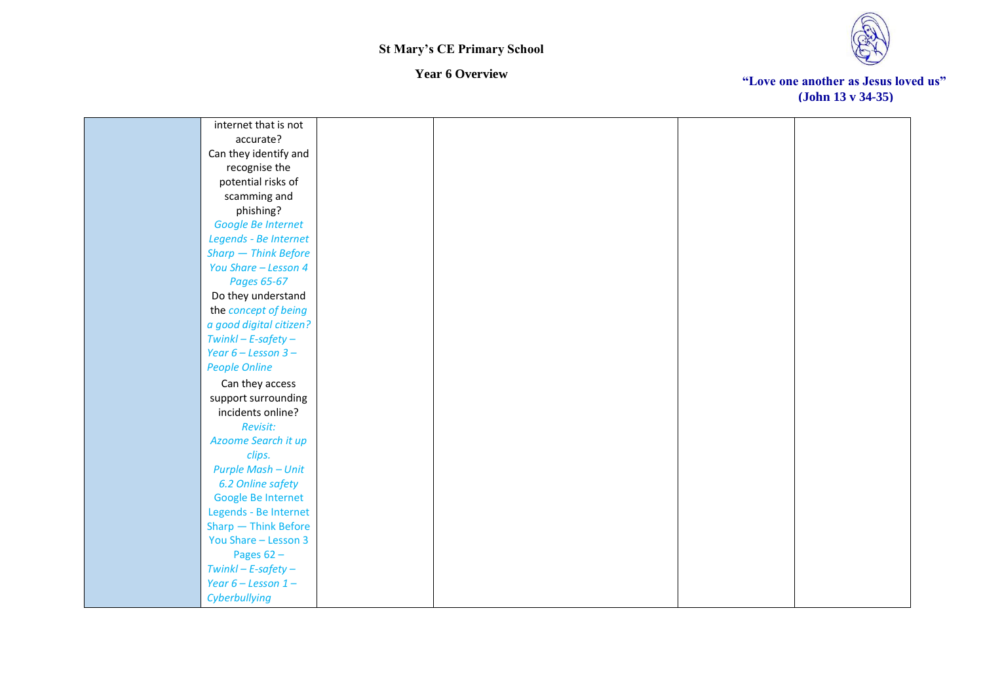



| internet that is not      |  |  |
|---------------------------|--|--|
| accurate?                 |  |  |
| Can they identify and     |  |  |
| recognise the             |  |  |
| potential risks of        |  |  |
| scamming and              |  |  |
| phishing?                 |  |  |
| Google Be Internet        |  |  |
| Legends - Be Internet     |  |  |
| Sharp - Think Before      |  |  |
| You Share - Lesson 4      |  |  |
| Pages 65-67               |  |  |
| Do they understand        |  |  |
| the concept of being      |  |  |
| a good digital citizen?   |  |  |
| $Twinkl - E-safety -$     |  |  |
| Year $6 -$ Lesson $3 -$   |  |  |
| <b>People Online</b>      |  |  |
| Can they access           |  |  |
| support surrounding       |  |  |
| incidents online?         |  |  |
| Revisit:                  |  |  |
| Azoome Search it up       |  |  |
| clips.                    |  |  |
| <b>Purple Mash - Unit</b> |  |  |
| 6.2 Online safety         |  |  |
| Google Be Internet        |  |  |
| Legends - Be Internet     |  |  |
| Sharp - Think Before      |  |  |
| You Share - Lesson 3      |  |  |
| Pages $62 -$              |  |  |
| $Twinkl - E-safety -$     |  |  |
| Year $6$ – Lesson 1 –     |  |  |
| Cyberbullying             |  |  |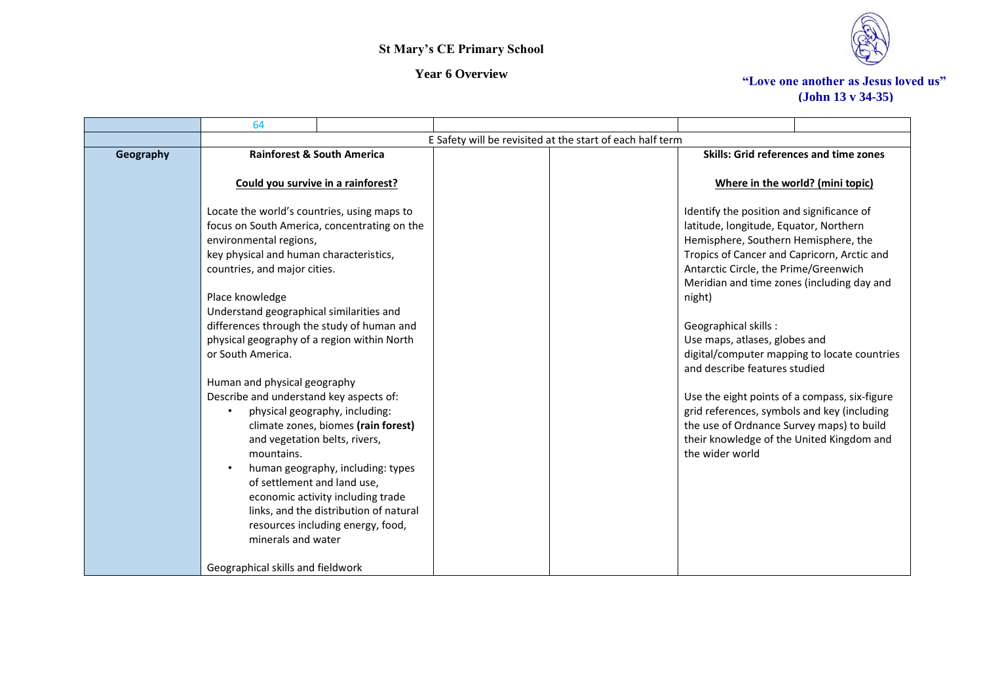



|           | 64                                                                                                                                                                                                                                                                                                                                                                                                                                                                                                                                                                                                    |                                                                                                                                                                                                                                |                                                           |                                                                                                                                                                                                                                                                                                                                                                                                                                                                                                                                                                                                                                    |                                        |
|-----------|-------------------------------------------------------------------------------------------------------------------------------------------------------------------------------------------------------------------------------------------------------------------------------------------------------------------------------------------------------------------------------------------------------------------------------------------------------------------------------------------------------------------------------------------------------------------------------------------------------|--------------------------------------------------------------------------------------------------------------------------------------------------------------------------------------------------------------------------------|-----------------------------------------------------------|------------------------------------------------------------------------------------------------------------------------------------------------------------------------------------------------------------------------------------------------------------------------------------------------------------------------------------------------------------------------------------------------------------------------------------------------------------------------------------------------------------------------------------------------------------------------------------------------------------------------------------|----------------------------------------|
|           |                                                                                                                                                                                                                                                                                                                                                                                                                                                                                                                                                                                                       |                                                                                                                                                                                                                                | E Safety will be revisited at the start of each half term |                                                                                                                                                                                                                                                                                                                                                                                                                                                                                                                                                                                                                                    |                                        |
| Geography |                                                                                                                                                                                                                                                                                                                                                                                                                                                                                                                                                                                                       | <b>Rainforest &amp; South America</b>                                                                                                                                                                                          |                                                           |                                                                                                                                                                                                                                                                                                                                                                                                                                                                                                                                                                                                                                    | Skills: Grid references and time zones |
|           |                                                                                                                                                                                                                                                                                                                                                                                                                                                                                                                                                                                                       | Could you survive in a rainforest?                                                                                                                                                                                             |                                                           |                                                                                                                                                                                                                                                                                                                                                                                                                                                                                                                                                                                                                                    | Where in the world? (mini topic)       |
|           | Locate the world's countries, using maps to<br>focus on South America, concentrating on the<br>environmental regions,<br>key physical and human characteristics,<br>countries, and major cities.<br>Place knowledge<br>Understand geographical similarities and<br>differences through the study of human and<br>physical geography of a region within North<br>or South America.<br>Human and physical geography<br>Describe and understand key aspects of:<br>and vegetation belts, rivers,<br>mountains.<br>of settlement and land use,<br>minerals and water<br>Geographical skills and fieldwork | physical geography, including:<br>climate zones, biomes (rain forest)<br>human geography, including: types<br>economic activity including trade<br>links, and the distribution of natural<br>resources including energy, food, |                                                           | Identify the position and significance of<br>latitude, longitude, Equator, Northern<br>Hemisphere, Southern Hemisphere, the<br>Tropics of Cancer and Capricorn, Arctic and<br>Antarctic Circle, the Prime/Greenwich<br>Meridian and time zones (including day and<br>night)<br>Geographical skills:<br>Use maps, atlases, globes and<br>digital/computer mapping to locate countries<br>and describe features studied<br>Use the eight points of a compass, six-figure<br>grid references, symbols and key (including<br>the use of Ordnance Survey maps) to build<br>their knowledge of the United Kingdom and<br>the wider world |                                        |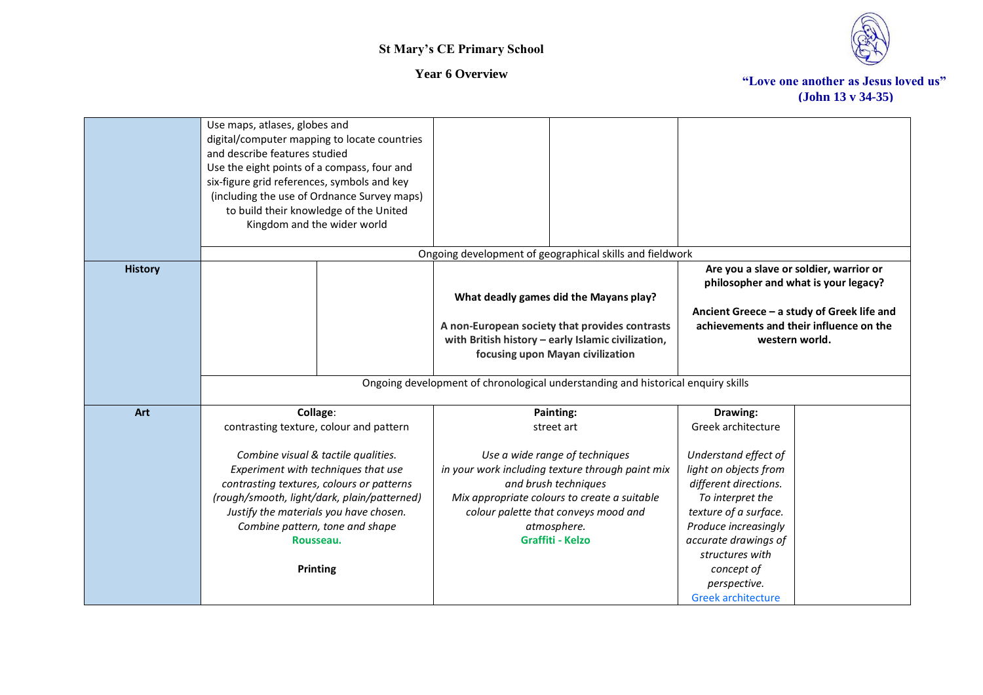

|                | Use maps, atlases, globes and<br>digital/computer mapping to locate countries<br>and describe features studied<br>Use the eight points of a compass, four and<br>six-figure grid references, symbols and key<br>(including the use of Ordnance Survey maps)<br>to build their knowledge of the United<br>Kingdom and the wider world |                                                                                                                                                                                                                                              |                                                                                                                                                                                                                                                   |
|----------------|--------------------------------------------------------------------------------------------------------------------------------------------------------------------------------------------------------------------------------------------------------------------------------------------------------------------------------------|----------------------------------------------------------------------------------------------------------------------------------------------------------------------------------------------------------------------------------------------|---------------------------------------------------------------------------------------------------------------------------------------------------------------------------------------------------------------------------------------------------|
|                |                                                                                                                                                                                                                                                                                                                                      | Ongoing development of geographical skills and fieldwork                                                                                                                                                                                     |                                                                                                                                                                                                                                                   |
| <b>History</b> |                                                                                                                                                                                                                                                                                                                                      | What deadly games did the Mayans play?<br>A non-European society that provides contrasts<br>with British history - early Islamic civilization,<br>focusing upon Mayan civilization                                                           | Are you a slave or soldier, warrior or<br>philosopher and what is your legacy?<br>Ancient Greece - a study of Greek life and<br>achievements and their influence on the<br>western world.                                                         |
|                |                                                                                                                                                                                                                                                                                                                                      |                                                                                                                                                                                                                                              |                                                                                                                                                                                                                                                   |
|                |                                                                                                                                                                                                                                                                                                                                      | Ongoing development of chronological understanding and historical enquiry skills                                                                                                                                                             |                                                                                                                                                                                                                                                   |
| Art            | Collage:                                                                                                                                                                                                                                                                                                                             | Painting:                                                                                                                                                                                                                                    | Drawing:                                                                                                                                                                                                                                          |
|                | contrasting texture, colour and pattern                                                                                                                                                                                                                                                                                              | street art                                                                                                                                                                                                                                   | Greek architecture                                                                                                                                                                                                                                |
|                | Combine visual & tactile qualities.<br>Experiment with techniques that use<br>contrasting textures, colours or patterns<br>(rough/smooth, light/dark, plain/patterned)<br>Justify the materials you have chosen.<br>Combine pattern, tone and shape<br>Rousseau.<br><b>Printing</b>                                                  | Use a wide range of techniques<br>in your work including texture through paint mix<br>and brush techniques<br>Mix appropriate colours to create a suitable<br>colour palette that conveys mood and<br>atmosphere.<br><b>Graffiti - Kelzo</b> | Understand effect of<br>light on objects from<br>different directions.<br>To interpret the<br>texture of a surface.<br>Produce increasingly<br>accurate drawings of<br>structures with<br>concept of<br>perspective.<br><b>Greek architecture</b> |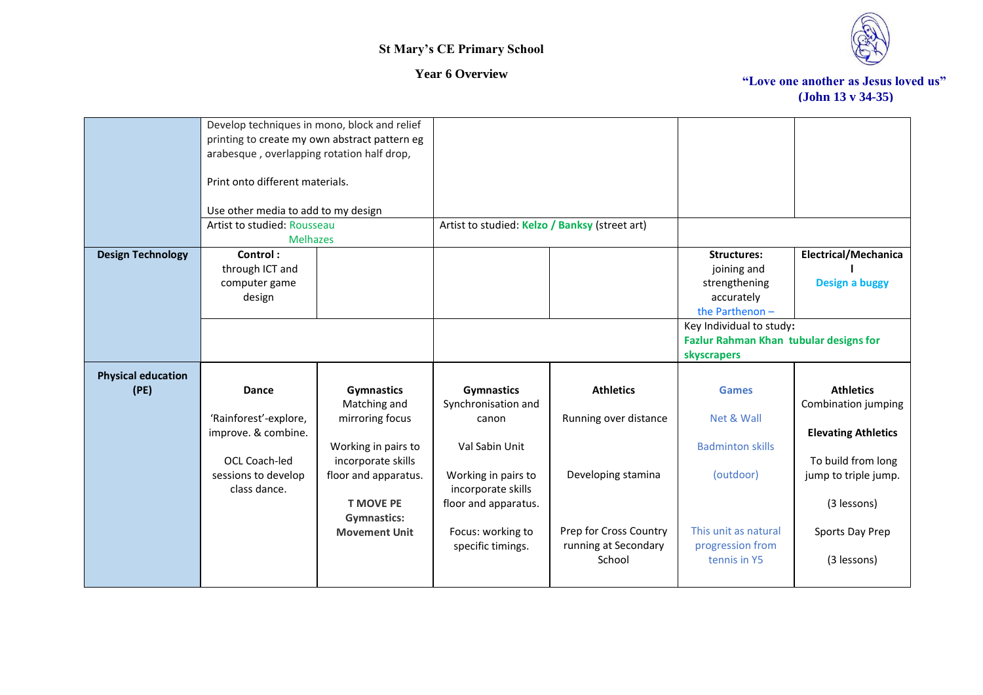

|                           | Develop techniques in mono, block and relief<br>printing to create my own abstract pattern eg |                      |                                                |                        |                                        |                             |
|---------------------------|-----------------------------------------------------------------------------------------------|----------------------|------------------------------------------------|------------------------|----------------------------------------|-----------------------------|
|                           | arabesque, overlapping rotation half drop,                                                    |                      |                                                |                        |                                        |                             |
|                           | Print onto different materials.                                                               |                      |                                                |                        |                                        |                             |
|                           | Use other media to add to my design                                                           |                      |                                                |                        |                                        |                             |
|                           | Artist to studied: Rousseau<br><b>Melhazes</b>                                                |                      | Artist to studied: Kelzo / Banksy (street art) |                        |                                        |                             |
| <b>Design Technology</b>  | Control:                                                                                      |                      |                                                |                        | <b>Structures:</b>                     | <b>Electrical/Mechanica</b> |
|                           | through ICT and                                                                               |                      |                                                |                        | joining and                            |                             |
|                           | computer game                                                                                 |                      |                                                |                        | strengthening                          | <b>Design a buggy</b>       |
|                           | design                                                                                        |                      |                                                |                        | accurately                             |                             |
|                           |                                                                                               |                      |                                                |                        | the Parthenon-                         |                             |
|                           |                                                                                               |                      |                                                |                        | Key Individual to study:               |                             |
|                           |                                                                                               |                      |                                                |                        | Fazlur Rahman Khan tubular designs for |                             |
|                           |                                                                                               |                      |                                                |                        | skyscrapers                            |                             |
| <b>Physical education</b> |                                                                                               |                      |                                                |                        |                                        |                             |
| (PE)                      | Dance                                                                                         | <b>Gymnastics</b>    | <b>Gymnastics</b>                              | <b>Athletics</b>       | <b>Games</b>                           | <b>Athletics</b>            |
|                           |                                                                                               | Matching and         | Synchronisation and                            |                        |                                        | Combination jumping         |
|                           | 'Rainforest'-explore,                                                                         | mirroring focus      | canon                                          | Running over distance  | Net & Wall                             |                             |
|                           | improve. & combine.                                                                           |                      |                                                |                        |                                        | <b>Elevating Athletics</b>  |
|                           |                                                                                               | Working in pairs to  | Val Sabin Unit                                 |                        | <b>Badminton skills</b>                |                             |
|                           | OCL Coach-led                                                                                 | incorporate skills   |                                                |                        |                                        | To build from long          |
|                           | sessions to develop<br>class dance.                                                           | floor and apparatus. | Working in pairs to<br>incorporate skills      | Developing stamina     | (outdoor)                              | jump to triple jump.        |
|                           |                                                                                               | <b>T MOVE PE</b>     | floor and apparatus.                           |                        |                                        | (3 lessons)                 |
|                           |                                                                                               | <b>Gymnastics:</b>   |                                                |                        |                                        |                             |
|                           |                                                                                               | <b>Movement Unit</b> | Focus: working to                              | Prep for Cross Country | This unit as natural                   | Sports Day Prep             |
|                           |                                                                                               |                      | specific timings.                              | running at Secondary   | progression from                       |                             |
|                           |                                                                                               |                      |                                                | School                 | tennis in Y5                           | (3 lessons)                 |
|                           |                                                                                               |                      |                                                |                        |                                        |                             |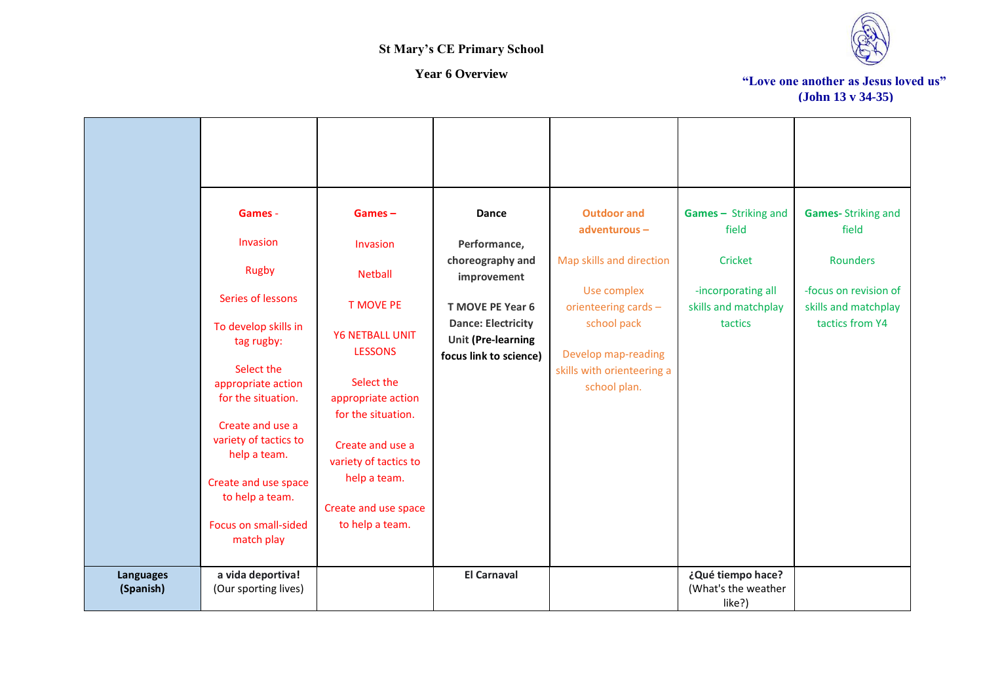

|                               | Games -<br>Invasion<br><b>Rugby</b><br>Series of lessons                                                                                                                                                                                   | $Games -$<br>Invasion<br><b>Netball</b><br><b>T MOVE PE</b>                                                                                                                                                | Dance<br>Performance,<br>choreography and<br>improvement<br><b>T MOVE PE Year 6</b> | <b>Outdoor and</b><br>adventurous-<br>Map skills and direction<br>Use complex<br>orienteering cards - | Games - Striking and<br>field<br>Cricket<br>-incorporating all<br>skills and matchplay | <b>Games-Striking and</b><br>field<br><b>Rounders</b><br>-focus on revision of<br>skills and matchplay |
|-------------------------------|--------------------------------------------------------------------------------------------------------------------------------------------------------------------------------------------------------------------------------------------|------------------------------------------------------------------------------------------------------------------------------------------------------------------------------------------------------------|-------------------------------------------------------------------------------------|-------------------------------------------------------------------------------------------------------|----------------------------------------------------------------------------------------|--------------------------------------------------------------------------------------------------------|
|                               | To develop skills in<br>tag rugby:<br>Select the<br>appropriate action<br>for the situation.<br>Create and use a<br>variety of tactics to<br>help a team.<br>Create and use space<br>to help a team.<br>Focus on small-sided<br>match play | <b>Y6 NETBALL UNIT</b><br><b>LESSONS</b><br>Select the<br>appropriate action<br>for the situation.<br>Create and use a<br>variety of tactics to<br>help a team.<br>Create and use space<br>to help a team. | <b>Dance: Electricity</b><br><b>Unit (Pre-learning</b><br>focus link to science)    | school pack<br>Develop map-reading<br>skills with orienteering a<br>school plan.                      | tactics                                                                                | tactics from Y4                                                                                        |
| <b>Languages</b><br>(Spanish) | a vida deportiva!<br>(Our sporting lives)                                                                                                                                                                                                  |                                                                                                                                                                                                            | <b>El Carnaval</b>                                                                  |                                                                                                       | ¿Qué tiempo hace?<br>(What's the weather<br>like?)                                     |                                                                                                        |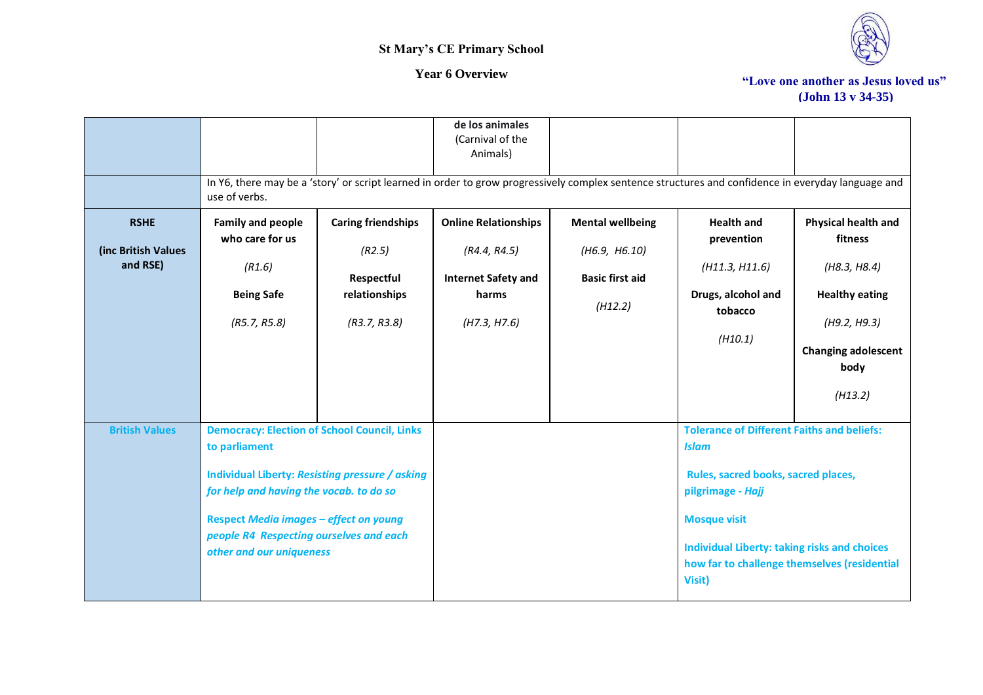

|                                                | use of verbs.                                                                                                                                                                                                                                                                              |                                                                                    | de los animales<br>(Carnival of the<br>Animals)                                                    | In Y6, there may be a 'story' or script learned in order to grow progressively complex sentence structures and confidence in everyday language and |                                                                                                                                                                                                                                                                       |                                                                                                                                          |
|------------------------------------------------|--------------------------------------------------------------------------------------------------------------------------------------------------------------------------------------------------------------------------------------------------------------------------------------------|------------------------------------------------------------------------------------|----------------------------------------------------------------------------------------------------|----------------------------------------------------------------------------------------------------------------------------------------------------|-----------------------------------------------------------------------------------------------------------------------------------------------------------------------------------------------------------------------------------------------------------------------|------------------------------------------------------------------------------------------------------------------------------------------|
| <b>RSHE</b><br>(inc British Values<br>and RSE) | <b>Family and people</b><br>who care for us<br>(R1.6)<br><b>Being Safe</b><br>(R5.7, R5.8)                                                                                                                                                                                                 | <b>Caring friendships</b><br>(R2.5)<br>Respectful<br>relationships<br>(R3.7, R3.8) | <b>Online Relationships</b><br>(R4.4, R4.5)<br><b>Internet Safety and</b><br>harms<br>(H7.3, H7.6) | <b>Mental wellbeing</b><br>(H6.9, H6.10)<br><b>Basic first aid</b><br>(H12.2)                                                                      | <b>Health and</b><br>prevention<br>(H11.3, H11.6)<br>Drugs, alcohol and<br>tobacco<br>(H10.1)                                                                                                                                                                         | Physical health and<br>fitness<br>(H8.3, H8.4)<br><b>Healthy eating</b><br>(H9.2, H9.3)<br><b>Changing adolescent</b><br>body<br>(H13.2) |
| <b>British Values</b>                          | <b>Democracy: Election of School Council, Links</b><br>to parliament<br>Individual Liberty: Resisting pressure / asking<br>for help and having the vocab. to do so<br><b>Respect Media images - effect on young</b><br>people R4 Respecting ourselves and each<br>other and our uniqueness |                                                                                    |                                                                                                    |                                                                                                                                                    | <b>Tolerance of Different Faiths and beliefs:</b><br><b>Islam</b><br>Rules, sacred books, sacred places,<br>pilgrimage - Hajj<br><b>Mosque visit</b><br><b>Individual Liberty: taking risks and choices</b><br>how far to challenge themselves (residential<br>Visit) |                                                                                                                                          |